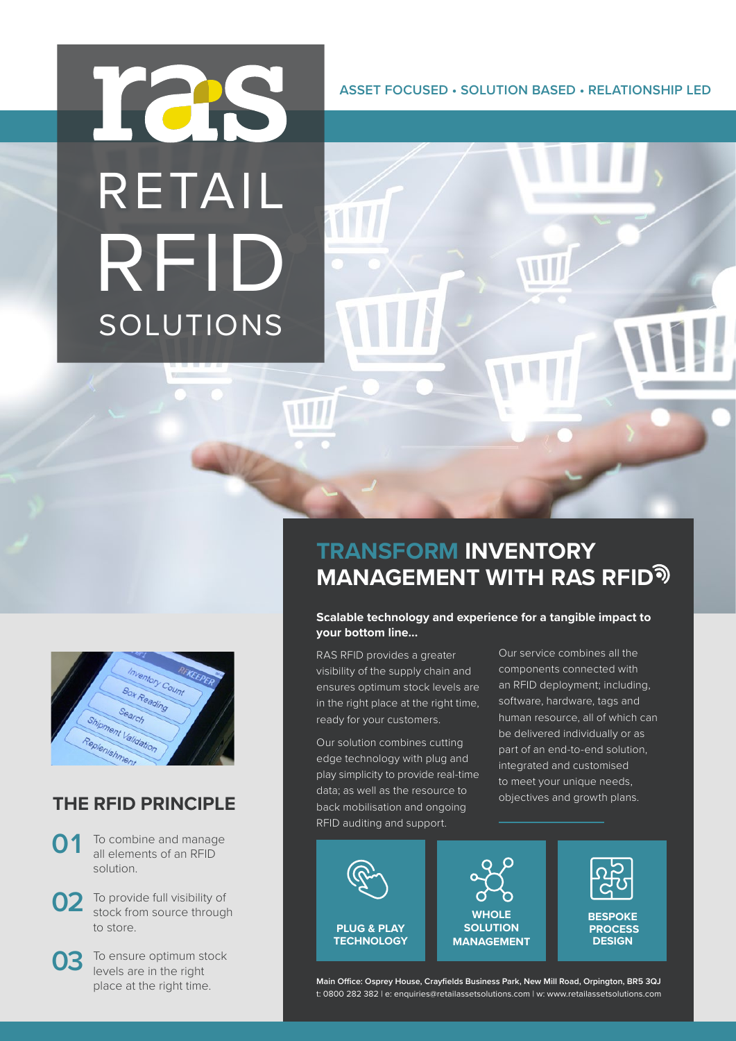# ICS RETAIL RFID SOLUTIONS

**ASSET FOCUSED • SOLUTION BASED • RELATIONSHIP LED**

# tory Count Box Reading oment Validation Replenishment

### **THE RFID PRINCIPLE**

- To combine and manage all elements of an RFID solution. **01**
- To provide full visibility of stock from source through to store. **02**
- To ensure optimum stock levels are in the right place at the right time. **03**

# **TRANSFORM INVENTORY MANAGEMENT WITH RAS RFID**

#### **Scalable technology and experience for a tangible impact to your bottom line...**

RAS RFID provides a greater visibility of the supply chain and ensures optimum stock levels are in the right place at the right time, ready for your customers.

Our solution combines cutting edge technology with plug and play simplicity to provide real-time data; as well as the resource to back mobilisation and ongoing RFID auditing and support.

Our service combines all the components connected with an RFID deployment; including, software, hardware, tags and human resource, all of which can be delivered individually or as part of an end-to-end solution, integrated and customised to meet your unique needs, objectives and growth plans.



**Main Office: Osprey House, Crayfields Business Park, New Mill Road, Orpington, BR5 3QJ** t: 0800 282 382 | e: enquiries@retailassetsolutions.com | w: www.retailassetsolutions.com